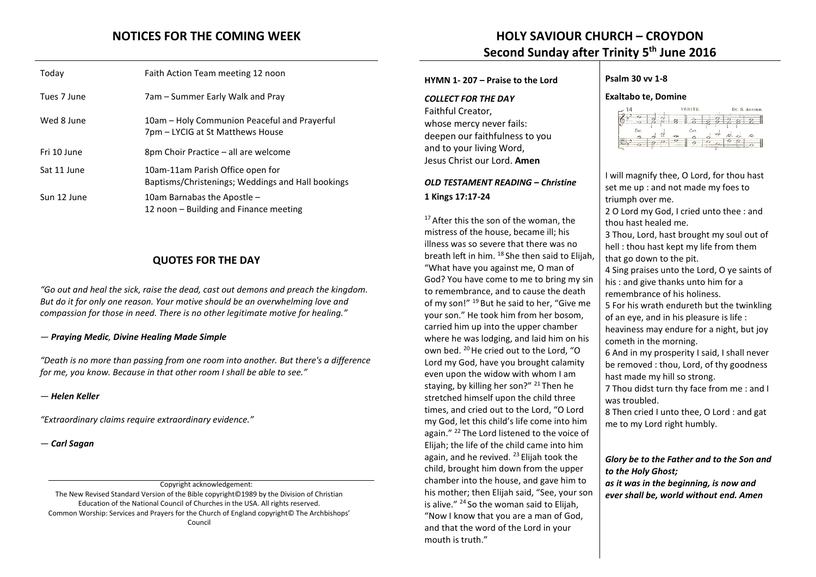| Today       | Faith Action Team meeting 12 noon                                                     |
|-------------|---------------------------------------------------------------------------------------|
| Tues 7 June | 7am – Summer Early Walk and Pray                                                      |
| Wed 8 June  | 10am – Holy Communion Peaceful and Prayerful<br>7pm – LYCIG at St Matthews House      |
| Fri 10 June | 8pm Choir Practice – all are welcome                                                  |
| Sat 11 June | 10am-11am Parish Office open for<br>Baptisms/Christenings; Weddings and Hall bookings |
| Sun 12 June | 10am Barnabas the Apostle -<br>12 noon – Building and Finance meeting                 |

## **QUOTES FOR THE DAY**

*"Go out and heal the sick, raise the dead, cast out demons and preach the kingdom. But do it for only one reason. Your motive should be an overwhelming love and compassion for those in need. There is no other legitimate motive for healing."* 

## *― [Praying Medic](http://www.goodreads.com/author/show/7742253.Praying_Medic), [Divine Healing Made Simple](http://www.goodreads.com/work/quotes/35374279)*

*"Death is no more than passing from one room into another. But there's a difference for me, you know. Because in that other room I shall be able to see."* 

## *― [Helen Keller](http://www.goodreads.com/author/show/7275.Helen_Keller)*

*"Extraordinary claims require extraordinary evidence."* 

*― [Carl Sagan](http://www.goodreads.com/author/show/10538.Carl_Sagan)*

Copyright acknowledgement: The New Revised Standard Version of the Bible copyright©1989 by the Division of Christian Education of the National Council of Churches in the USA. All rights reserved. Common Worship: Services and Prayers for the Church of England copyright© The Archbishops' Council

# **NOTICES FOR THE COMING WEEK HOLY SAVIOUR CHURCH – CROYDON Second Sunday after Trinity 5 th June 2016**

## **HYMN 1- 207 – Praise to the Lord**

*COLLECT FOR THE DAY* Faithful Creator, whose mercy never fails: deepen our faithfulness to you and to your living Word, Jesus Christ our Lord. **Amen**

## *OLD TESTAMENT READING – Christine* **1 Kings 17:17-24**

<sup>17</sup> After this the son of the woman, the mistress of the house, became ill; his illness was so severe that there was no breath left in him. <sup>18</sup> She then said to Elijah, "What have you against me, O man of God? You have come to me to bring my sin to remembrance, and to cause the death of my son!" <sup>19</sup> But he said to her, "Give me your son." He took him from her bosom, carried him up into the upper chamber where he was lodging, and laid him on his own bed. <sup>20</sup> He cried out to the Lord, "O Lord my God, have you brought calamity even upon the widow with whom I am staying, by killing her son?" <sup>21</sup> Then he stretched himself upon the child three times, and cried out to the Lord, "O Lord my God, let this child's life come into him again." <sup>22</sup> The Lord listened to the voice of Elijah; the life of the child came into him again, and he revived.  $^{23}$  Elijah took the child, brought him down from the upper chamber into the house, and gave him to his mother; then Elijah said, "See, your son is alive." <sup>24</sup> So the woman said to Elijah, "Now I know that you are a man of God, and that the word of the Lord in your mouth is truth."

## **Psalm 30 vv 1-8**

## **Exaltabo te, Domine**



I will magnify thee, O Lord, for thou hast

set me up : and not made my foes to triumph over me. 2 O Lord my God, I cried unto thee : and thou hast healed me. 3 Thou, Lord, hast brought my soul out of hell : thou hast kept my life from them that go down to the pit. 4 Sing praises unto the Lord, O ye saints of his : and give thanks unto him for a remembrance of his holiness. 5 For his wrath endureth but the twinkling of an eye, and in his pleasure is life : heaviness may endure for a night, but joy cometh in the morning. 6 And in my prosperity I said, I shall never be removed : thou, Lord, of thy goodness hast made my hill so strong. 7 Thou didst turn thy face from me : and I was troubled. 8 Then cried I unto thee, O Lord : and gat me to my Lord right humbly. *Glory be to the Father and to the Son and to the Holy Ghost;* 

*as it was in the beginning, is now and ever shall be, world without end. Amen*